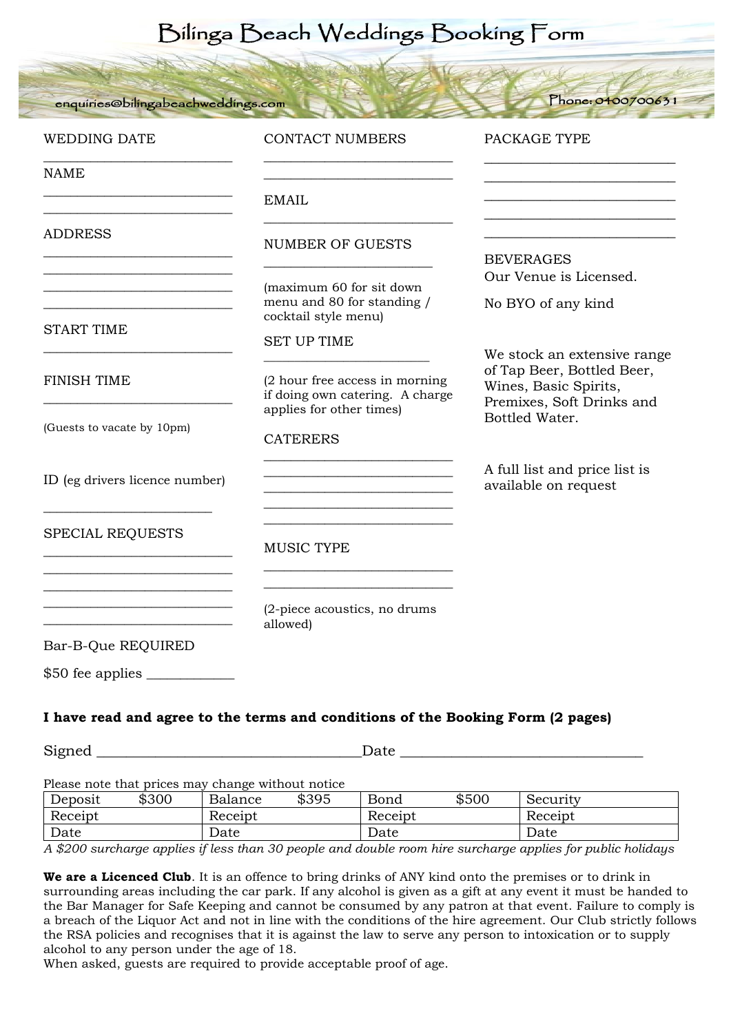# Bilinga Beach Weddings Booking Form

PACKAGE TYPE

Phone: 040070063

CONTACT NUMBERS

| WEDDING DATE                                                                                                                                                                                                                         | COMIACI NOMDERS                                                                                                        | FAUNAUL IIFL                                                                     |  |  |
|--------------------------------------------------------------------------------------------------------------------------------------------------------------------------------------------------------------------------------------|------------------------------------------------------------------------------------------------------------------------|----------------------------------------------------------------------------------|--|--|
| <b>NAME</b>                                                                                                                                                                                                                          |                                                                                                                        |                                                                                  |  |  |
|                                                                                                                                                                                                                                      | <b>EMAIL</b>                                                                                                           |                                                                                  |  |  |
| <b>ADDRESS</b>                                                                                                                                                                                                                       | <b>NUMBER OF GUESTS</b>                                                                                                | <b>BEVERAGES</b>                                                                 |  |  |
|                                                                                                                                                                                                                                      | (maximum 60 for sit down                                                                                               | Our Venue is Licensed.                                                           |  |  |
| <u> 2000 - Jan James James Jan James James James James James James James James James James James James James James James James James James James James James James James James James James James James James James James James J</u> | menu and 80 for standing /<br>cocktail style menu)                                                                     | No BYO of any kind                                                               |  |  |
| <b>START TIME</b>                                                                                                                                                                                                                    | <b>SET UP TIME</b>                                                                                                     | We stock an extensive range                                                      |  |  |
| <b>FINISH TIME</b>                                                                                                                                                                                                                   | (2 hour free access in morning<br>if doing own catering. A charge<br>applies for other times)                          | of Tap Beer, Bottled Beer,<br>Wines, Basic Spirits,<br>Premixes, Soft Drinks and |  |  |
| (Guests to vacate by 10pm)                                                                                                                                                                                                           | <b>CATERERS</b>                                                                                                        | Bottled Water.                                                                   |  |  |
| ID (eg drivers licence number)                                                                                                                                                                                                       | <u> 1989 - Johann Stoff, deutscher Stoffen und der Stoffen und der Stoffen und der Stoffen und der Stoffen und der</u> | A full list and price list is<br>available on request                            |  |  |
| SPECIAL REQUESTS                                                                                                                                                                                                                     | <b>MUSIC TYPE</b>                                                                                                      |                                                                                  |  |  |
|                                                                                                                                                                                                                                      | (2-piece acoustics, no drums<br>allowed)                                                                               |                                                                                  |  |  |
| Bar-B-Que REQUIRED                                                                                                                                                                                                                   |                                                                                                                        |                                                                                  |  |  |
|                                                                                                                                                                                                                                      |                                                                                                                        |                                                                                  |  |  |
|                                                                                                                                                                                                                                      |                                                                                                                        |                                                                                  |  |  |

# **I have read and agree to the terms and conditions of the Booking Form (2 pages)**

Signed \_\_\_\_\_\_\_\_\_\_\_\_\_\_\_\_\_\_\_\_\_\_\_\_\_\_\_\_\_\_\_\_\_\_\_\_Date \_\_\_\_\_\_\_\_\_\_\_\_\_\_\_\_\_\_\_\_\_\_\_\_\_\_\_\_\_\_\_\_\_

WEDDING DATE

enquiries@bilingabeachweddings.com

Please note that prices may change without notice

| 'i icade fiole that briced may chance without houce |       |         |       |         |       |          |
|-----------------------------------------------------|-------|---------|-------|---------|-------|----------|
| Deposit                                             | \$300 | Balance | \$395 | Bond    | \$500 | Security |
| Receipt                                             |       | Receipt |       | Receipt |       | Receipt  |
| Date                                                |       | Date    |       | Date    |       | Date     |

*A \$200 surcharge applies if less than 30 people and double room hire surcharge applies for public holidays*

**We are a Licenced Club**. It is an offence to bring drinks of ANY kind onto the premises or to drink in surrounding areas including the car park. If any alcohol is given as a gift at any event it must be handed to the Bar Manager for Safe Keeping and cannot be consumed by any patron at that event. Failure to comply is a breach of the Liquor Act and not in line with the conditions of the hire agreement. Our Club strictly follows the RSA policies and recognises that it is against the law to serve any person to intoxication or to supply alcohol to any person under the age of 18.

When asked, guests are required to provide acceptable proof of age.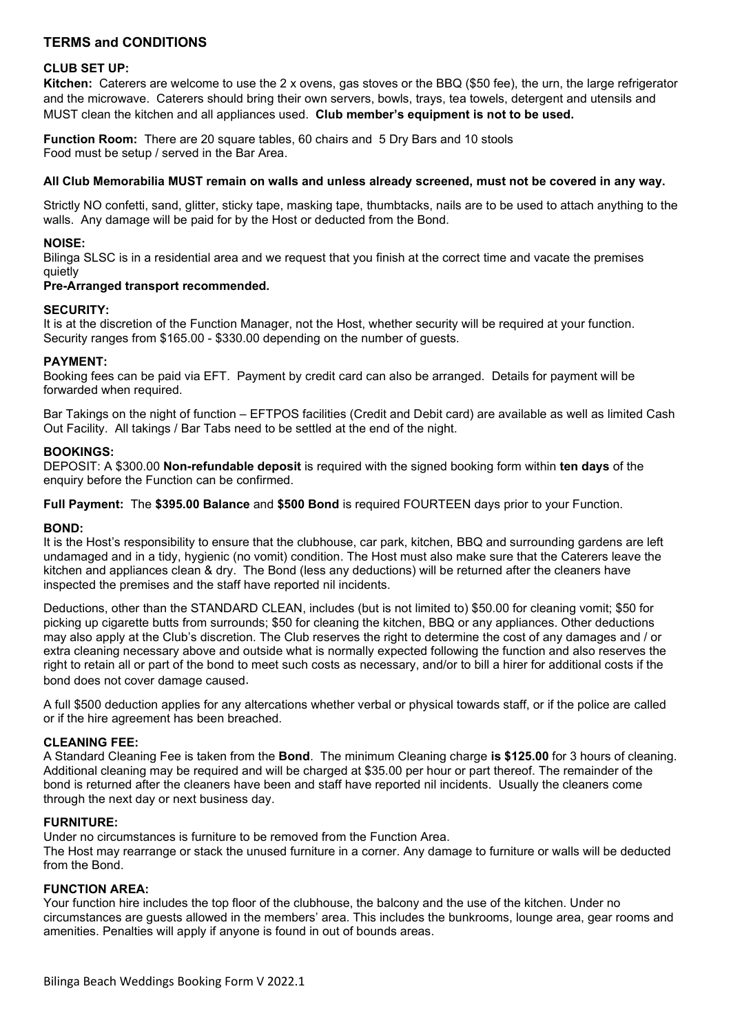# **TERMS and CONDITIONS**

# **CLUB SET UP:**

**Kitchen:** Caterers are welcome to use the 2 x ovens, gas stoves or the BBQ (\$50 fee), the urn, the large refrigerator and the microwave. Caterers should bring their own servers, bowls, trays, tea towels, detergent and utensils and MUST clean the kitchen and all appliances used. **Club member's equipment is not to be used.**

**Function Room:** There are 20 square tables, 60 chairs and 5 Dry Bars and 10 stools Food must be setup / served in the Bar Area.

#### **All Club Memorabilia MUST remain on walls and unless already screened, must not be covered in any way.**

Strictly NO confetti, sand, glitter, sticky tape, masking tape, thumbtacks, nails are to be used to attach anything to the walls. Any damage will be paid for by the Host or deducted from the Bond.

#### **NOISE:**

Bilinga SLSC is in a residential area and we request that you finish at the correct time and vacate the premises quietly

## **Pre-Arranged transport recommended.**

#### **SECURITY:**

It is at the discretion of the Function Manager, not the Host, whether security will be required at your function. Security ranges from \$165.00 - \$330.00 depending on the number of guests.

# **PAYMENT:**

Booking fees can be paid via EFT. Payment by credit card can also be arranged. Details for payment will be forwarded when required.

Bar Takings on the night of function – EFTPOS facilities (Credit and Debit card) are available as well as limited Cash Out Facility. All takings / Bar Tabs need to be settled at the end of the night.

#### **BOOKINGS:**

DEPOSIT: A \$300.00 **Non-refundable deposit** is required with the signed booking form within **ten days** of the enquiry before the Function can be confirmed.

**Full Payment:** The **\$395.00 Balance** and **\$500 Bond** is required FOURTEEN days prior to your Function.

#### **BOND:**

It is the Host's responsibility to ensure that the clubhouse, car park, kitchen, BBQ and surrounding gardens are left undamaged and in a tidy, hygienic (no vomit) condition. The Host must also make sure that the Caterers leave the kitchen and appliances clean & dry. The Bond (less any deductions) will be returned after the cleaners have inspected the premises and the staff have reported nil incidents.

Deductions, other than the STANDARD CLEAN, includes (but is not limited to) \$50.00 for cleaning vomit; \$50 for picking up cigarette butts from surrounds; \$50 for cleaning the kitchen, BBQ or any appliances. Other deductions may also apply at the Club's discretion. The Club reserves the right to determine the cost of any damages and / or extra cleaning necessary above and outside what is normally expected following the function and also reserves the right to retain all or part of the bond to meet such costs as necessary, and/or to bill a hirer for additional costs if the bond does not cover damage caused.

A full \$500 deduction applies for any altercations whether verbal or physical towards staff, or if the police are called or if the hire agreement has been breached.

#### **CLEANING FEE:**

A Standard Cleaning Fee is taken from the **Bond**. The minimum Cleaning charge **is \$125.00** for 3 hours of cleaning. Additional cleaning may be required and will be charged at \$35.00 per hour or part thereof. The remainder of the bond is returned after the cleaners have been and staff have reported nil incidents. Usually the cleaners come through the next day or next business day.

#### **FURNITURE:**

Under no circumstances is furniture to be removed from the Function Area. The Host may rearrange or stack the unused furniture in a corner. Any damage to furniture or walls will be deducted from the Bond.

#### **FUNCTION AREA:**

Your function hire includes the top floor of the clubhouse, the balcony and the use of the kitchen. Under no circumstances are guests allowed in the members' area. This includes the bunkrooms, lounge area, gear rooms and amenities. Penalties will apply if anyone is found in out of bounds areas.